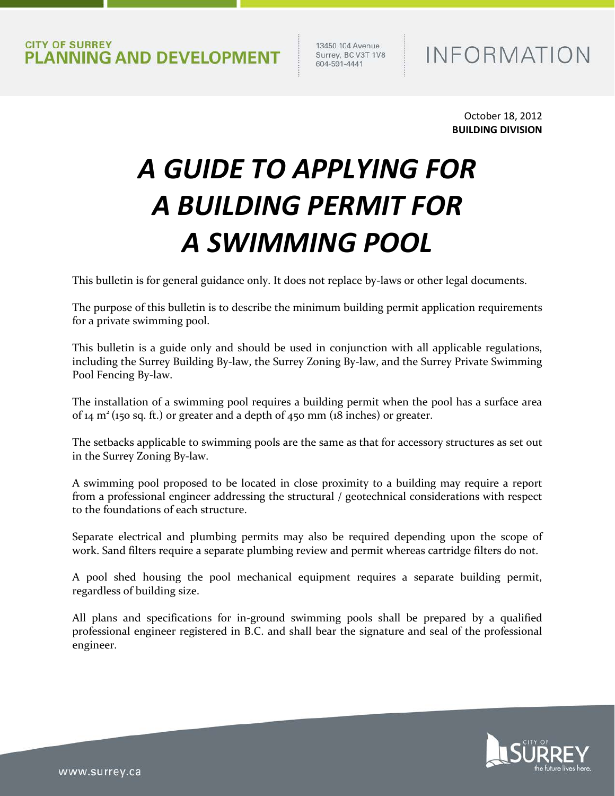13450 104 Avenue<br>Surrey, BC V3T 1V8 604-591-4441

# **INFORMATION**

October 18, 2012 **BUILDING DIVISION**

# *A GUIDE TO APPLYING FOR A BUILDING PERMIT FOR A SWIMMING POOL*

This bulletin is for general guidance only. It does not replace by-laws or other legal documents.

The purpose of this bulletin is to describe the minimum building permit application requirements for a private swimming pool.

This bulletin is a guide only and should be used in conjunction with all applicable regulations, including the Surrey Building By-law, the Surrey Zoning By-law, and the Surrey Private Swimming Pool Fencing By-law.

The installation of a swimming pool requires a building permit when the pool has a surface area of  $14 \text{ m}^2$  (150 sq. ft.) or greater and a depth of  $450 \text{ mm}$  (18 inches) or greater.

The setbacks applicable to swimming pools are the same as that for accessory structures as set out in the Surrey Zoning By-law.

A swimming pool proposed to be located in close proximity to a building may require a report from a professional engineer addressing the structural / geotechnical considerations with respect to the foundations of each structure.

Separate electrical and plumbing permits may also be required depending upon the scope of work. Sand filters require a separate plumbing review and permit whereas cartridge filters do not.

A pool shed housing the pool mechanical equipment requires a separate building permit, regardless of building size.

All plans and specifications for in-ground swimming pools shall be prepared by a qualified professional engineer registered in B.C. and shall bear the signature and seal of the professional engineer.

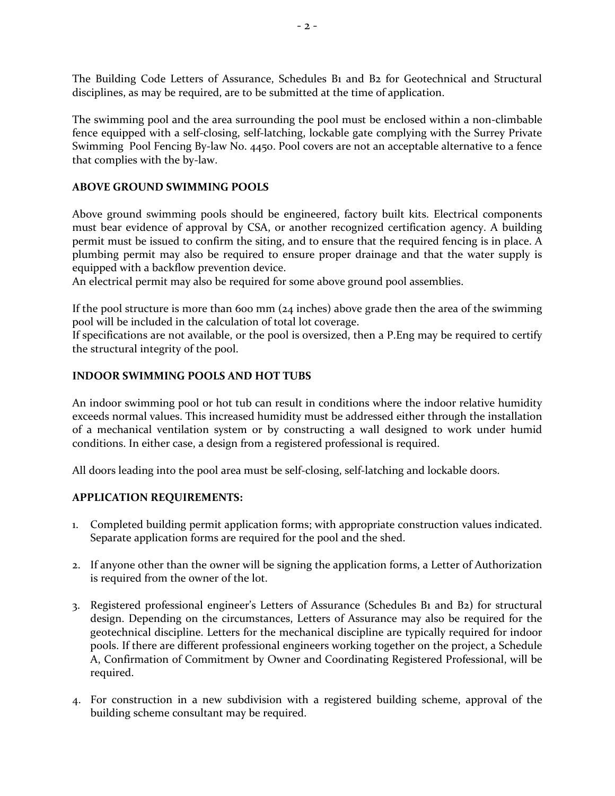The Building Code Letters of Assurance, Schedules B1 and B2 for Geotechnical and Structural disciplines, as may be required, are to be submitted at the time of application.

The swimming pool and the area surrounding the pool must be enclosed within a non-climbable fence equipped with a self-closing, self-latching, lockable gate complying with the Surrey Private Swimming Pool Fencing By-law No. 4450. Pool covers are not an acceptable alternative to a fence that complies with the by-law.

#### **ABOVE GROUND SWIMMING POOLS**

Above ground swimming pools should be engineered, factory built kits. Electrical components must bear evidence of approval by CSA, or another recognized certification agency. A building permit must be issued to confirm the siting, and to ensure that the required fencing is in place. A plumbing permit may also be required to ensure proper drainage and that the water supply is equipped with a backflow prevention device.

An electrical permit may also be required for some above ground pool assemblies.

If the pool structure is more than 600 mm ( $24$  inches) above grade then the area of the swimming pool will be included in the calculation of total lot coverage.

If specifications are not available, or the pool is oversized, then a P.Eng may be required to certify the structural integrity of the pool.

## **INDOOR SWIMMING POOLS AND HOT TUBS**

An indoor swimming pool or hot tub can result in conditions where the indoor relative humidity exceeds normal values. This increased humidity must be addressed either through the installation of a mechanical ventilation system or by constructing a wall designed to work under humid conditions. In either case, a design from a registered professional is required.

All doors leading into the pool area must be self-closing, self-latching and lockable doors.

## **APPLICATION REQUIREMENTS:**

- 1. Completed building permit application forms; with appropriate construction values indicated. Separate application forms are required for the pool and the shed.
- 2. If anyone other than the owner will be signing the application forms, a Letter of Authorization is required from the owner of the lot.
- 3. Registered professional engineer's Letters of Assurance (Schedules B1 and B2) for structural design. Depending on the circumstances, Letters of Assurance may also be required for the geotechnical discipline. Letters for the mechanical discipline are typically required for indoor pools. If there are different professional engineers working together on the project, a Schedule A, Confirmation of Commitment by Owner and Coordinating Registered Professional, will be required.
- 4. For construction in a new subdivision with a registered building scheme, approval of the building scheme consultant may be required.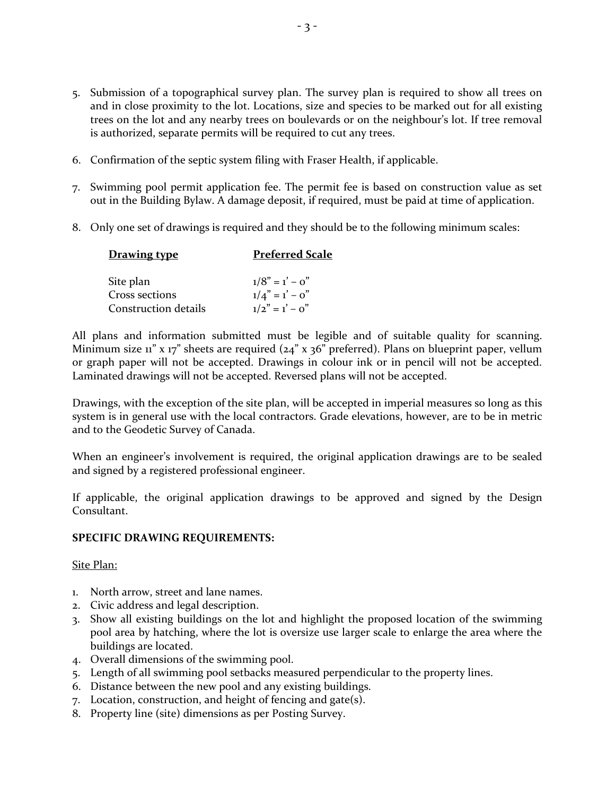- 5. Submission of a topographical survey plan. The survey plan is required to show all trees on and in close proximity to the lot. Locations, size and species to be marked out for all existing trees on the lot and any nearby trees on boulevards or on the neighbour's lot. If tree removal is authorized, separate permits will be required to cut any trees.
- 6. Confirmation of the septic system filing with Fraser Health, if applicable.
- 7. Swimming pool permit application fee. The permit fee is based on construction value as set out in the Building Bylaw. A damage deposit, if required, must be paid at time of application.
- 8. Only one set of drawings is required and they should be to the following minimum scales:

| <b>Drawing type</b>  | <b>Preferred Scale</b> |
|----------------------|------------------------|
|                      |                        |
| Site plan            | $1/8" = 1' - 0"$       |
| Cross sections       | $1/4" = 1' - 0"$       |
| Construction details | $1/2" = 1' - 0"$       |

All plans and information submitted must be legible and of suitable quality for scanning. Minimum size 11" x 17" sheets are required (24" x 36" preferred). Plans on blueprint paper, vellum or graph paper will not be accepted. Drawings in colour ink or in pencil will not be accepted. Laminated drawings will not be accepted. Reversed plans will not be accepted.

Drawings, with the exception of the site plan, will be accepted in imperial measures so long as this system is in general use with the local contractors. Grade elevations, however, are to be in metric and to the Geodetic Survey of Canada.

When an engineer's involvement is required, the original application drawings are to be sealed and signed by a registered professional engineer.

If applicable, the original application drawings to be approved and signed by the Design Consultant.

## **SPECIFIC DRAWING REQUIREMENTS:**

## Site Plan:

- 1. North arrow, street and lane names.
- 2. Civic address and legal description.
- 3. Show all existing buildings on the lot and highlight the proposed location of the swimming pool area by hatching, where the lot is oversize use larger scale to enlarge the area where the buildings are located.
- 4. Overall dimensions of the swimming pool.
- 5. Length of all swimming pool setbacks measured perpendicular to the property lines.
- 6. Distance between the new pool and any existing buildings.
- 7. Location, construction, and height of fencing and gate(s).
- 8. Property line (site) dimensions as per Posting Survey.